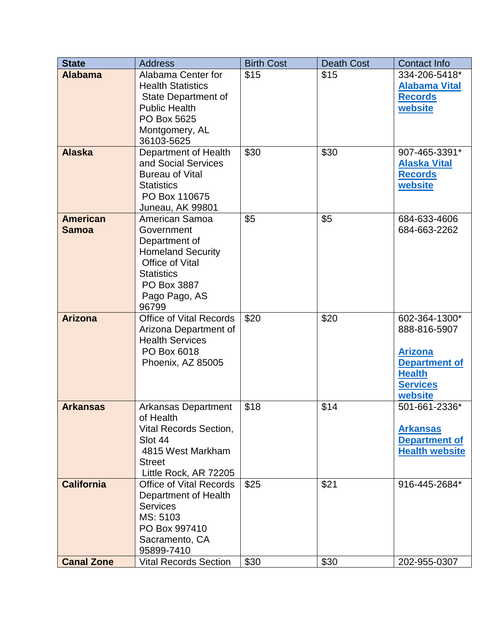| <b>State</b>                    | <b>Address</b>                                                                                                                                             | <b>Birth Cost</b> | <b>Death Cost</b> | <b>Contact Info</b>                                                                                                    |
|---------------------------------|------------------------------------------------------------------------------------------------------------------------------------------------------------|-------------------|-------------------|------------------------------------------------------------------------------------------------------------------------|
| <b>Alabama</b>                  | Alabama Center for<br><b>Health Statistics</b><br>State Department of<br><b>Public Health</b><br>PO Box 5625<br>Montgomery, AL<br>36103-5625               | \$15              | \$15              | 334-206-5418*<br><b>Alabama Vital</b><br><b>Records</b><br>website                                                     |
| <b>Alaska</b>                   | Department of Health<br>and Social Services<br><b>Bureau of Vital</b><br><b>Statistics</b><br>PO Box 110675<br>Juneau, AK 99801                            | \$30              | \$30              | 907-465-3391*<br><b>Alaska Vital</b><br><b>Records</b><br>website                                                      |
| <b>American</b><br><b>Samoa</b> | American Samoa<br>Government<br>Department of<br><b>Homeland Security</b><br>Office of Vital<br><b>Statistics</b><br>PO Box 3887<br>Pago Pago, AS<br>96799 | \$5               | \$5               | 684-633-4606<br>684-663-2262                                                                                           |
| <b>Arizona</b>                  | <b>Office of Vital Records</b><br>Arizona Department of<br><b>Health Services</b><br>PO Box 6018<br>Phoenix, AZ 85005                                      | \$20              | \$20              | 602-364-1300*<br>888-816-5907<br><b>Arizona</b><br><b>Department of</b><br><b>Health</b><br><b>Services</b><br>website |
| <b>Arkansas</b>                 | <b>Arkansas Department</b><br>of Health<br>Vital Records Section,<br>Slot 44<br>4815 West Markham<br><b>Street</b><br>Little Rock, AR 72205                | \$18              | \$14              | 501-661-2336*<br><b>Arkansas</b><br><b>Department of</b><br><b>Health website</b>                                      |
| <b>California</b>               | Office of Vital Records<br>Department of Health<br><b>Services</b><br>MS: 5103<br>PO Box 997410<br>Sacramento, CA<br>95899-7410                            | \$25              | \$21              | 916-445-2684*                                                                                                          |
| <b>Canal Zone</b>               | <b>Vital Records Section</b>                                                                                                                               | \$30              | \$30              | 202-955-0307                                                                                                           |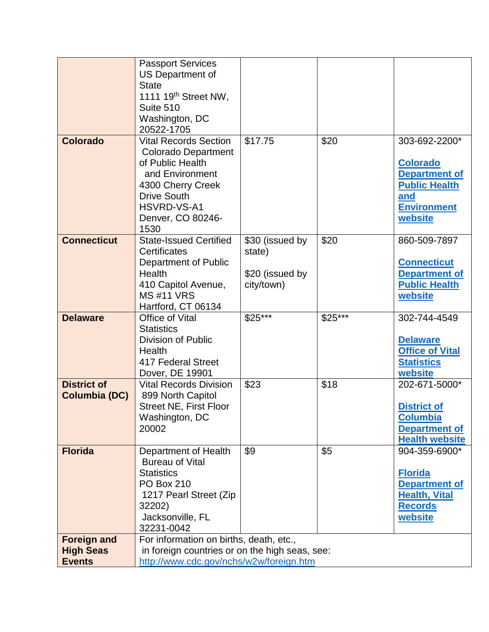|                                        | <b>Passport Services</b><br>US Department of                                              |                 |          |                                            |
|----------------------------------------|-------------------------------------------------------------------------------------------|-----------------|----------|--------------------------------------------|
|                                        | <b>State</b>                                                                              |                 |          |                                            |
|                                        | 1111 19 <sup>th</sup> Street NW,                                                          |                 |          |                                            |
|                                        | Suite 510                                                                                 |                 |          |                                            |
|                                        | Washington, DC<br>20522-1705                                                              |                 |          |                                            |
| <b>Colorado</b>                        | <b>Vital Records Section</b>                                                              | \$17.75         | \$20     | 303-692-2200*                              |
|                                        | <b>Colorado Department</b>                                                                |                 |          |                                            |
|                                        | of Public Health                                                                          |                 |          | <b>Colorado</b>                            |
|                                        | and Environment                                                                           |                 |          | <b>Department of</b>                       |
|                                        | 4300 Cherry Creek<br><b>Drive South</b>                                                   |                 |          | <b>Public Health</b>                       |
|                                        | HSVRD-VS-A1                                                                               |                 |          | and<br><b>Environment</b>                  |
|                                        | Denver, CO 80246-                                                                         |                 |          | website                                    |
|                                        | 1530                                                                                      |                 |          |                                            |
| <b>Connecticut</b>                     | <b>State-Issued Certified</b>                                                             | \$30 (issued by | \$20     | 860-509-7897                               |
|                                        | Certificates                                                                              | state)          |          |                                            |
|                                        | Department of Public<br>Health                                                            | \$20 (issued by |          | <b>Connecticut</b><br><b>Department of</b> |
|                                        | 410 Capitol Avenue,                                                                       | city/town)      |          | <b>Public Health</b>                       |
|                                        | <b>MS#11 VRS</b>                                                                          |                 |          | website                                    |
|                                        | Hartford, CT 06134                                                                        |                 |          |                                            |
| <b>Delaware</b>                        | Office of Vital                                                                           | $$25***$        | $$25***$ | 302-744-4549                               |
|                                        | <b>Statistics</b><br>Division of Public                                                   |                 |          | <b>Delaware</b>                            |
|                                        | Health                                                                                    |                 |          | <b>Office of Vital</b>                     |
|                                        | 417 Federal Street                                                                        |                 |          | <b>Statistics</b>                          |
|                                        | Dover, DE 19901                                                                           |                 |          | website                                    |
| <b>District of</b>                     | <b>Vital Records Division</b>                                                             | \$23            | \$18     | 202-671-5000*                              |
| Columbia (DC)                          | 899 North Capitol                                                                         |                 |          |                                            |
|                                        | <b>Street NE, First Floor</b><br>Washington, DC                                           |                 |          | <b>District of</b><br><b>Columbia</b>      |
|                                        | 20002                                                                                     |                 |          | <b>Department of</b>                       |
|                                        |                                                                                           |                 |          | <b>Health website</b>                      |
| <b>Florida</b>                         | Department of Health                                                                      | \$9             | \$5      | 904-359-6900*                              |
|                                        | <b>Bureau of Vital</b>                                                                    |                 |          |                                            |
|                                        | <b>Statistics</b><br><b>PO Box 210</b>                                                    |                 |          | <b>Florida</b><br><b>Department of</b>     |
|                                        | 1217 Pearl Street (Zip                                                                    |                 |          | <b>Health, Vital</b>                       |
|                                        | 32202)                                                                                    |                 |          | <b>Records</b>                             |
|                                        | Jacksonville, FL                                                                          |                 |          | website                                    |
|                                        | 32231-0042                                                                                |                 |          |                                            |
| <b>Foreign and</b><br><b>High Seas</b> | For information on births, death, etc.,<br>in foreign countries or on the high seas, see: |                 |          |                                            |
| <b>Events</b>                          | http://www.cdc.gov/nchs/w2w/foreign.htm                                                   |                 |          |                                            |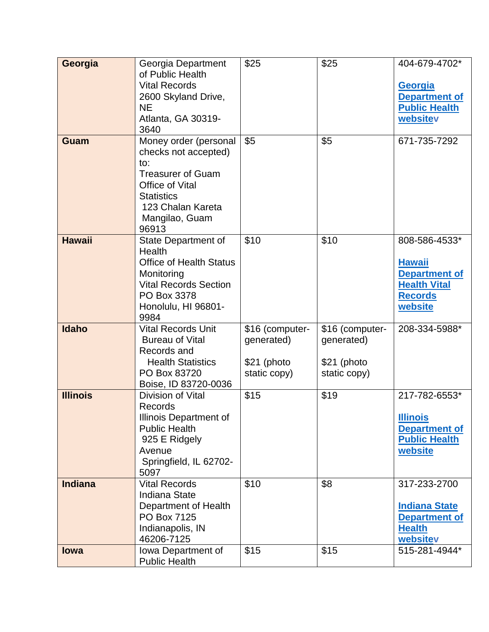| Georgia         | Georgia Department                              | \$25            | \$25            | 404-679-4702*                         |
|-----------------|-------------------------------------------------|-----------------|-----------------|---------------------------------------|
|                 | of Public Health                                |                 |                 |                                       |
|                 | <b>Vital Records</b>                            |                 |                 | <b>Georgia</b>                        |
|                 | 2600 Skyland Drive,                             |                 |                 | <b>Department of</b>                  |
|                 | <b>NE</b>                                       |                 |                 | <b>Public Health</b>                  |
|                 | Atlanta, GA 30319-<br>3640                      |                 |                 | websitev                              |
| Guam            | Money order (personal                           | \$5             | \$5             | 671-735-7292                          |
|                 | checks not accepted)                            |                 |                 |                                       |
|                 | to:                                             |                 |                 |                                       |
|                 | <b>Treasurer of Guam</b>                        |                 |                 |                                       |
|                 | Office of Vital                                 |                 |                 |                                       |
|                 | <b>Statistics</b>                               |                 |                 |                                       |
|                 | 123 Chalan Kareta                               |                 |                 |                                       |
|                 | Mangilao, Guam                                  |                 |                 |                                       |
|                 | 96913                                           |                 |                 |                                       |
| <b>Hawaii</b>   | <b>State Department of</b>                      | \$10            | \$10            | 808-586-4533*                         |
|                 | <b>Health</b><br><b>Office of Health Status</b> |                 |                 |                                       |
|                 | Monitoring                                      |                 |                 | <b>Hawaii</b><br><b>Department of</b> |
|                 | <b>Vital Records Section</b>                    |                 |                 | <b>Health Vital</b>                   |
|                 | PO Box 3378                                     |                 |                 | <b>Records</b>                        |
|                 | Honolulu, HI 96801-                             |                 |                 | website                               |
|                 | 9984                                            |                 |                 |                                       |
| <b>Idaho</b>    | <b>Vital Records Unit</b>                       | \$16 (computer- | \$16 (computer- | 208-334-5988*                         |
|                 | <b>Bureau of Vital</b>                          | generated)      | generated)      |                                       |
|                 | Records and                                     |                 |                 |                                       |
|                 | <b>Health Statistics</b>                        | $$21$ (photo    | \$21 (photo     |                                       |
|                 | PO Box 83720                                    | static copy)    | static copy)    |                                       |
| <b>Illinois</b> | Boise, ID 83720-0036<br>Division of Vital       | \$15            | \$19            | 217-782-6553*                         |
|                 | Records                                         |                 |                 |                                       |
|                 | Illinois Department of                          |                 |                 | <b>Illinois</b>                       |
|                 | <b>Public Health</b>                            |                 |                 | <b>Department of</b>                  |
|                 | 925 E Ridgely                                   |                 |                 | <b>Public Health</b>                  |
|                 | Avenue                                          |                 |                 | website                               |
|                 | Springfield, IL 62702-                          |                 |                 |                                       |
|                 | 5097                                            |                 |                 |                                       |
| <b>Indiana</b>  | <b>Vital Records</b>                            | \$10            | \$8             | 317-233-2700                          |
|                 | <b>Indiana State</b>                            |                 |                 |                                       |
|                 | Department of Health                            |                 |                 | <b>Indiana State</b>                  |
|                 | PO Box 7125                                     |                 |                 | <b>Department of</b>                  |
|                 | Indianapolis, IN<br>46206-7125                  |                 |                 | <b>Health</b><br>websitev             |
| <b>lowa</b>     | Iowa Department of                              | \$15            | \$15            | 515-281-4944*                         |
|                 | <b>Public Health</b>                            |                 |                 |                                       |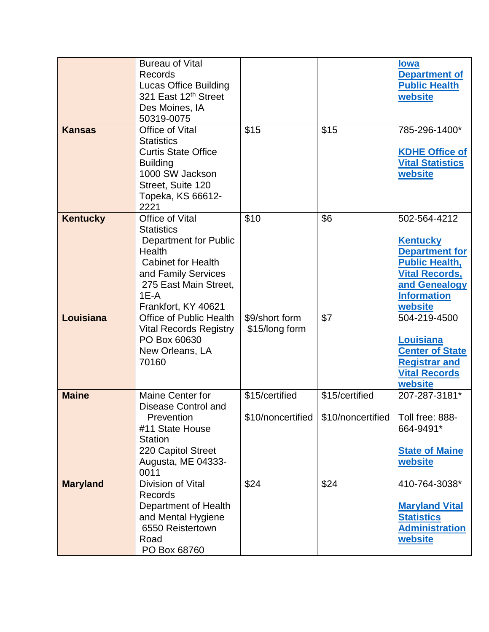|                 | <b>Bureau of Vital</b><br>Records<br><b>Lucas Office Building</b><br>321 East 12th Street<br>Des Moines, IA                                                                                         |                                     |                                     | <u>lowa</u><br><b>Department of</b><br><b>Public Health</b><br>website                                                                                       |
|-----------------|-----------------------------------------------------------------------------------------------------------------------------------------------------------------------------------------------------|-------------------------------------|-------------------------------------|--------------------------------------------------------------------------------------------------------------------------------------------------------------|
| <b>Kansas</b>   | 50319-0075<br>Office of Vital                                                                                                                                                                       | \$15                                | \$15                                | 785-296-1400*                                                                                                                                                |
|                 | <b>Statistics</b><br><b>Curtis State Office</b><br><b>Building</b><br>1000 SW Jackson<br>Street, Suite 120<br>Topeka, KS 66612-<br>2221                                                             |                                     |                                     | <b>KDHE Office of</b><br><b>Vital Statistics</b><br>website                                                                                                  |
| <b>Kentucky</b> | Office of Vital<br><b>Statistics</b><br><b>Department for Public</b><br><b>Health</b><br><b>Cabinet for Health</b><br>and Family Services<br>275 East Main Street,<br>$1E-A$<br>Frankfort, KY 40621 | \$10                                | \$6                                 | 502-564-4212<br><b>Kentucky</b><br><b>Department for</b><br><b>Public Health,</b><br><b>Vital Records,</b><br>and Genealogy<br><b>Information</b><br>website |
| Louisiana       | <b>Office of Public Health</b><br><b>Vital Records Registry</b><br>PO Box 60630<br>New Orleans, LA<br>70160                                                                                         | \$9/short form<br>\$15/long form    | \$7                                 | 504-219-4500<br>Louisiana<br><b>Center of State</b><br><b>Registrar and</b><br><b>Vital Records</b><br>website                                               |
| <b>Maine</b>    | <b>Maine Center for</b><br>Disease Control and<br>Prevention<br>#11 State House<br><b>Station</b><br>220 Capitol Street<br>Augusta, ME 04333-<br>0011                                               | \$15/certified<br>\$10/noncertified | \$15/certified<br>\$10/noncertified | 207-287-3181*<br>Toll free: 888-<br>664-9491*<br><b>State of Maine</b><br>website                                                                            |
| <b>Maryland</b> | Division of Vital<br><b>Records</b><br>Department of Health<br>and Mental Hygiene<br>6550 Reistertown<br>Road<br>PO Box 68760                                                                       | \$24                                | \$24                                | 410-764-3038*<br><b>Maryland Vital</b><br><b>Statistics</b><br><b>Administration</b><br>website                                                              |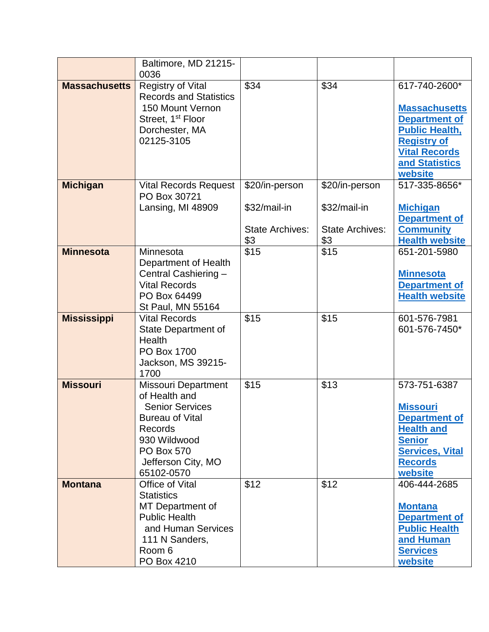|                      | Baltimore, MD 21215-<br>0036                                                                                                                                                               |                                                                 |                                                                 |                                                                                                                                                                   |
|----------------------|--------------------------------------------------------------------------------------------------------------------------------------------------------------------------------------------|-----------------------------------------------------------------|-----------------------------------------------------------------|-------------------------------------------------------------------------------------------------------------------------------------------------------------------|
| <b>Massachusetts</b> | <b>Registry of Vital</b><br><b>Records and Statistics</b><br>150 Mount Vernon<br>Street, 1 <sup>st</sup> Floor<br>Dorchester, MA<br>02125-3105                                             | \$34                                                            | \$34                                                            | 617-740-2600*<br><b>Massachusetts</b><br><b>Department of</b><br><b>Public Health,</b><br><b>Registry of</b><br><b>Vital Records</b><br>and Statistics<br>website |
| <b>Michigan</b>      | <b>Vital Records Request</b><br>PO Box 30721<br>Lansing, MI 48909                                                                                                                          | \$20/in-person<br>\$32/mail-in<br><b>State Archives:</b><br>\$3 | \$20/in-person<br>\$32/mail-in<br><b>State Archives:</b><br>\$3 | 517-335-8656*<br><b>Michigan</b><br><b>Department of</b><br><b>Community</b><br><b>Health website</b>                                                             |
| <b>Minnesota</b>     | Minnesota<br>Department of Health<br>Central Cashiering -<br><b>Vital Records</b><br>PO Box 64499<br>St Paul, MN 55164                                                                     | \$15                                                            | \$15                                                            | 651-201-5980<br><b>Minnesota</b><br><b>Department of</b><br><b>Health website</b>                                                                                 |
| <b>Mississippi</b>   | <b>Vital Records</b><br>State Department of<br><b>Health</b><br>PO Box 1700<br>Jackson, MS 39215-<br>1700                                                                                  | \$15                                                            | \$15                                                            | 601-576-7981<br>601-576-7450*                                                                                                                                     |
| <b>Missouri</b>      | <b>Missouri Department</b><br>of Health and<br><b>Senior Services</b><br><b>Bureau of Vital</b><br><b>Records</b><br>930 Wildwood<br><b>PO Box 570</b><br>Jefferson City, MO<br>65102-0570 | \$15                                                            | \$13                                                            | 573-751-6387<br><b>Missouri</b><br><b>Department of</b><br><b>Health and</b><br><b>Senior</b><br><b>Services, Vital</b><br><b>Records</b><br>website              |
| <b>Montana</b>       | Office of Vital<br><b>Statistics</b><br>MT Department of<br><b>Public Health</b><br>and Human Services<br>111 N Sanders,<br>Room 6<br>PO Box 4210                                          | \$12                                                            | \$12                                                            | 406-444-2685<br><b>Montana</b><br><b>Department of</b><br><b>Public Health</b><br>and Human<br><b>Services</b><br>website                                         |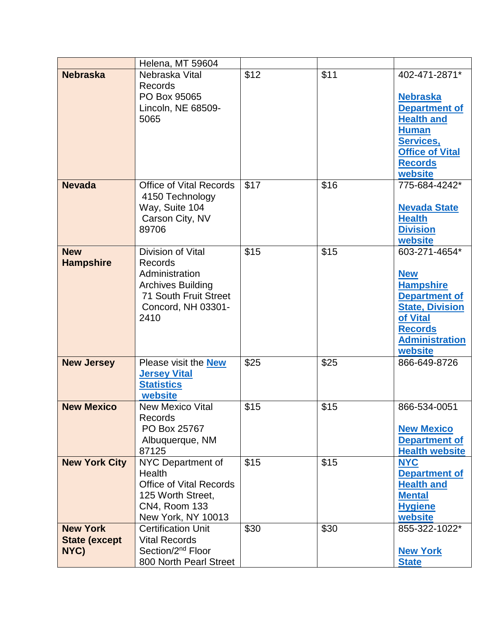|                                                 | Helena, MT 59604                                                                                                                         |      |      |                                                                                                                                                                     |
|-------------------------------------------------|------------------------------------------------------------------------------------------------------------------------------------------|------|------|---------------------------------------------------------------------------------------------------------------------------------------------------------------------|
| <b>Nebraska</b>                                 | Nebraska Vital<br><b>Records</b><br>PO Box 95065                                                                                         | \$12 | \$11 | 402-471-2871*<br><b>Nebraska</b>                                                                                                                                    |
|                                                 | Lincoln, NE 68509-<br>5065                                                                                                               |      |      | <b>Department of</b><br><b>Health and</b><br><b>Human</b><br><b>Services,</b><br><b>Office of Vital</b><br><b>Records</b><br>website                                |
| <b>Nevada</b>                                   | <b>Office of Vital Records</b><br>4150 Technology<br>Way, Suite 104<br>Carson City, NV<br>89706                                          | \$17 | \$16 | 775-684-4242*<br><b>Nevada State</b><br><b>Health</b><br><b>Division</b><br>website                                                                                 |
| <b>New</b><br><b>Hampshire</b>                  | Division of Vital<br><b>Records</b><br>Administration<br><b>Archives Building</b><br>71 South Fruit Street<br>Concord, NH 03301-<br>2410 | \$15 | \$15 | 603-271-4654*<br><b>New</b><br><b>Hampshire</b><br><b>Department of</b><br><b>State, Division</b><br>of Vital<br><b>Records</b><br><b>Administration</b><br>website |
| <b>New Jersey</b>                               | Please visit the <b>New</b><br><b>Jersey Vital</b><br><b>Statistics</b><br>website                                                       | \$25 | \$25 | 866-649-8726                                                                                                                                                        |
| <b>New Mexico</b>                               | <b>New Mexico Vital</b><br>Records<br>PO Box 25767<br>Albuquerque, NM<br>87125                                                           | \$15 | \$15 | 866-534-0051<br><b>New Mexico</b><br><b>Department of</b><br><b>Health website</b>                                                                                  |
| <b>New York City</b>                            | NYC Department of<br>Health<br><b>Office of Vital Records</b><br>125 Worth Street,<br><b>CN4, Room 133</b><br>New York, NY 10013         | \$15 | \$15 | <b>NYC</b><br><b>Department of</b><br><b>Health and</b><br><b>Mental</b><br><b>Hygiene</b><br>website                                                               |
| <b>New York</b><br><b>State (except</b><br>NYC) | <b>Certification Unit</b><br><b>Vital Records</b><br>Section/2 <sup>nd</sup> Floor<br>800 North Pearl Street                             | \$30 | \$30 | 855-322-1022*<br><b>New York</b><br><b>State</b>                                                                                                                    |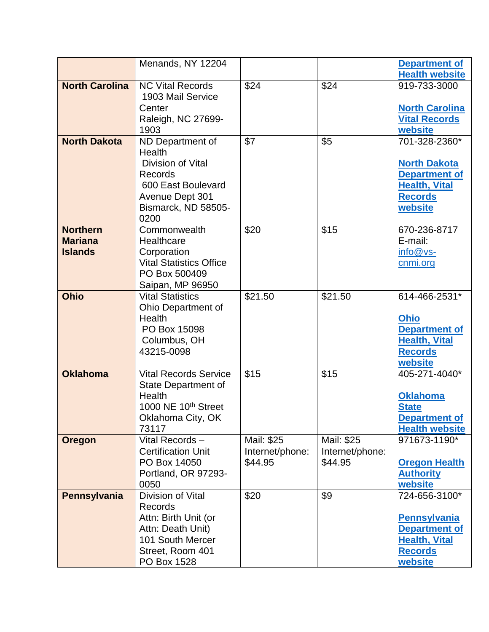|                       | Menands, NY 12204                             |                 |                 | <b>Department of</b>                         |
|-----------------------|-----------------------------------------------|-----------------|-----------------|----------------------------------------------|
|                       |                                               |                 |                 | <b>Health website</b>                        |
| <b>North Carolina</b> | <b>NC Vital Records</b><br>1903 Mail Service  | \$24            | \$24            | 919-733-3000                                 |
|                       | Center                                        |                 |                 | <b>North Carolina</b>                        |
|                       | Raleigh, NC 27699-                            |                 |                 | <b>Vital Records</b>                         |
|                       | 1903                                          |                 |                 | website                                      |
| <b>North Dakota</b>   | ND Department of                              | \$7             | \$5             | 701-328-2360*                                |
|                       | Health                                        |                 |                 |                                              |
|                       | Division of Vital                             |                 |                 | <b>North Dakota</b>                          |
|                       | <b>Records</b><br>600 East Boulevard          |                 |                 | <b>Department of</b><br><b>Health, Vital</b> |
|                       | Avenue Dept 301                               |                 |                 | <b>Records</b>                               |
|                       | Bismarck, ND 58505-                           |                 |                 | website                                      |
|                       | 0200                                          |                 |                 |                                              |
| <b>Northern</b>       | Commonwealth                                  | \$20            | \$15            | 670-236-8717                                 |
| <b>Mariana</b>        | Healthcare                                    |                 |                 | E-mail:                                      |
| <b>Islands</b>        | Corporation<br><b>Vital Statistics Office</b> |                 |                 | info@vs-<br>cnmi.org                         |
|                       | PO Box 500409                                 |                 |                 |                                              |
|                       | Saipan, MP 96950                              |                 |                 |                                              |
| <b>Ohio</b>           | <b>Vital Statistics</b>                       | \$21.50         | \$21.50         | 614-466-2531*                                |
|                       | Ohio Department of                            |                 |                 |                                              |
|                       | Health<br>PO Box 15098                        |                 |                 | <b>Ohio</b>                                  |
|                       | Columbus, OH                                  |                 |                 | <b>Department of</b><br><b>Health, Vital</b> |
|                       | 43215-0098                                    |                 |                 | <b>Records</b>                               |
|                       |                                               |                 |                 | website                                      |
| <b>Oklahoma</b>       | <b>Vital Records Service</b>                  | \$15            | \$15            | 405-271-4040*                                |
|                       | State Department of                           |                 |                 |                                              |
|                       | Health<br>1000 NE 10 <sup>th</sup> Street     |                 |                 | <b>Oklahoma</b><br><b>State</b>              |
|                       | Oklahoma City, OK                             |                 |                 | <b>Department of</b>                         |
|                       | 73117                                         |                 |                 | <b>Health website</b>                        |
| <b>Oregon</b>         | Vital Records-                                | Mail: \$25      | Mail: \$25      | 971673-1190*                                 |
|                       | <b>Certification Unit</b>                     | Internet/phone: | Internet/phone: |                                              |
|                       | PO Box 14050<br>Portland, OR 97293-           | \$44.95         | \$44.95         | <b>Oregon Health</b>                         |
|                       | 0050                                          |                 |                 | <b>Authority</b><br>website                  |
| Pennsylvania          | Division of Vital                             | \$20            | \$9             | 724-656-3100*                                |
|                       | <b>Records</b>                                |                 |                 |                                              |
|                       | Attn: Birth Unit (or                          |                 |                 | <b>Pennsylvania</b>                          |
|                       | Attn: Death Unit)                             |                 |                 | <b>Department of</b>                         |
|                       | 101 South Mercer<br>Street, Room 401          |                 |                 | <b>Health, Vital</b><br><b>Records</b>       |
|                       | PO Box 1528                                   |                 |                 | website                                      |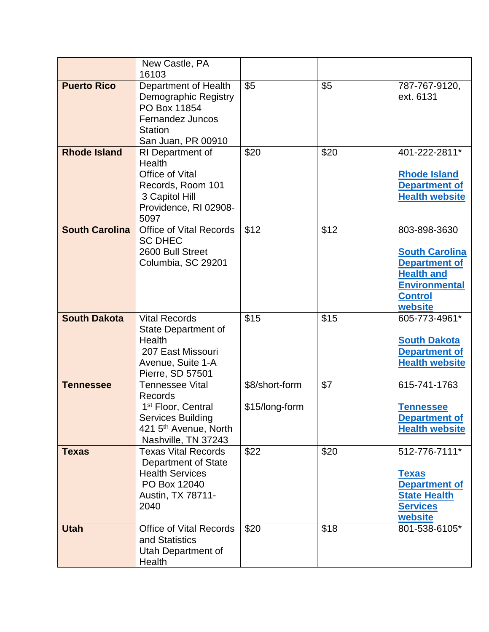|                       | New Castle, PA<br>16103                                                                                                                                            |                                  |      |                                                                                                                                         |
|-----------------------|--------------------------------------------------------------------------------------------------------------------------------------------------------------------|----------------------------------|------|-----------------------------------------------------------------------------------------------------------------------------------------|
| <b>Puerto Rico</b>    | Department of Health<br>Demographic Registry<br>PO Box 11854<br>Fernandez Juncos<br><b>Station</b><br>San Juan, PR 00910                                           | \$5                              | \$5  | 787-767-9120,<br>ext. 6131                                                                                                              |
| <b>Rhode Island</b>   | RI Department of<br><b>Health</b><br>Office of Vital<br>Records, Room 101<br>3 Capitol Hill<br>Providence, RI 02908-<br>5097                                       | \$20                             | \$20 | 401-222-2811*<br><b>Rhode Island</b><br><b>Department of</b><br><b>Health website</b>                                                   |
| <b>South Carolina</b> | <b>Office of Vital Records</b><br><b>SC DHEC</b><br>2600 Bull Street<br>Columbia, SC 29201                                                                         | \$12                             | \$12 | 803-898-3630<br><b>South Carolina</b><br><b>Department of</b><br><b>Health and</b><br><b>Environmental</b><br><b>Control</b><br>website |
| <b>South Dakota</b>   | <b>Vital Records</b><br><b>State Department of</b><br>Health<br>207 East Missouri<br>Avenue, Suite 1-A<br>Pierre, SD 57501                                         | \$15                             | \$15 | 605-773-4961*<br><b>South Dakota</b><br><b>Department of</b><br><b>Health website</b>                                                   |
| <b>Tennessee</b>      | <b>Tennessee Vital</b><br><b>Records</b><br>1 <sup>st</sup> Floor, Central<br><b>Services Building</b><br>421 5 <sup>th</sup> Avenue, North<br>Nashville, TN 37243 | \$8/short-form<br>\$15/long-form | \$7  | 615-741-1763<br><b>Tennessee</b><br><b>Department of</b><br><b>Health website</b>                                                       |
| <b>Texas</b>          | <b>Texas Vital Records</b><br><b>Department of State</b><br><b>Health Services</b><br>PO Box 12040<br>Austin, TX 78711-<br>2040                                    | \$22                             | \$20 | 512-776-7111*<br><b>Texas</b><br><b>Department of</b><br><b>State Health</b><br><b>Services</b><br>website                              |
| <b>Utah</b>           | <b>Office of Vital Records</b><br>and Statistics<br>Utah Department of<br>Health                                                                                   | \$20                             | \$18 | 801-538-6105*                                                                                                                           |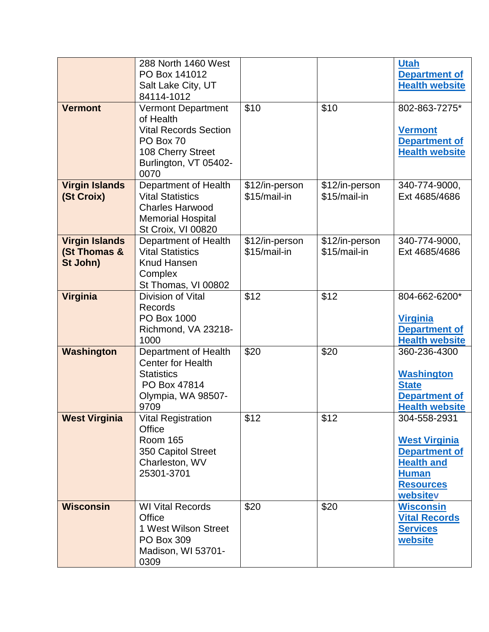| <b>Vermont</b>                                    | 288 North 1460 West<br>PO Box 141012<br>Salt Lake City, UT<br>84114-1012<br><b>Vermont Department</b><br>of Health<br><b>Vital Records Section</b><br>PO Box 70<br>108 Cherry Street<br>Burlington, VT 05402- | \$10                           | \$10                           | <b>Utah</b><br><b>Department of</b><br><b>Health website</b><br>802-863-7275*<br><b>Vermont</b><br><b>Department of</b><br><b>Health website</b> |
|---------------------------------------------------|---------------------------------------------------------------------------------------------------------------------------------------------------------------------------------------------------------------|--------------------------------|--------------------------------|--------------------------------------------------------------------------------------------------------------------------------------------------|
| <b>Virgin Islands</b><br>(St Croix)               | 0070<br>Department of Health<br><b>Vital Statistics</b><br><b>Charles Harwood</b><br><b>Memorial Hospital</b><br>St Croix, VI 00820                                                                           | \$12/in-person<br>\$15/mail-in | \$12/in-person<br>\$15/mail-in | 340-774-9000,<br>Ext 4685/4686                                                                                                                   |
| <b>Virgin Islands</b><br>(St Thomas &<br>St John) | Department of Health<br><b>Vital Statistics</b><br><b>Knud Hansen</b><br>Complex<br>St Thomas, VI 00802                                                                                                       | \$12/in-person<br>\$15/mail-in | \$12/in-person<br>\$15/mail-in | 340-774-9000,<br>Ext 4685/4686                                                                                                                   |
| <b>Virginia</b>                                   | Division of Vital<br><b>Records</b><br>PO Box 1000<br>Richmond, VA 23218-<br>1000                                                                                                                             | \$12                           | \$12                           | 804-662-6200*<br><b>Virginia</b><br><b>Department of</b><br><b>Health website</b>                                                                |
| Washington                                        | Department of Health<br><b>Center for Health</b><br><b>Statistics</b><br>PO Box 47814<br>Olympia, WA 98507-<br>9709                                                                                           | \$20                           | \$20                           | 360-236-4300<br><b>Washington</b><br><b>State</b><br><b>Department of</b><br><b>Health website</b>                                               |
| <b>West Virginia</b>                              | <b>Vital Registration</b><br>Office<br><b>Room 165</b><br>350 Capitol Street<br>Charleston, WV<br>25301-3701                                                                                                  | \$12                           | \$12                           | 304-558-2931<br><b>West Virginia</b><br><b>Department of</b><br><b>Health and</b><br><b>Human</b><br><b>Resources</b><br>websitev                |
| <b>Wisconsin</b>                                  | <b>WI Vital Records</b><br>Office<br>1 West Wilson Street<br>PO Box 309<br>Madison, WI 53701-<br>0309                                                                                                         | \$20                           | \$20                           | <b>Wisconsin</b><br><b>Vital Records</b><br><b>Services</b><br>website                                                                           |